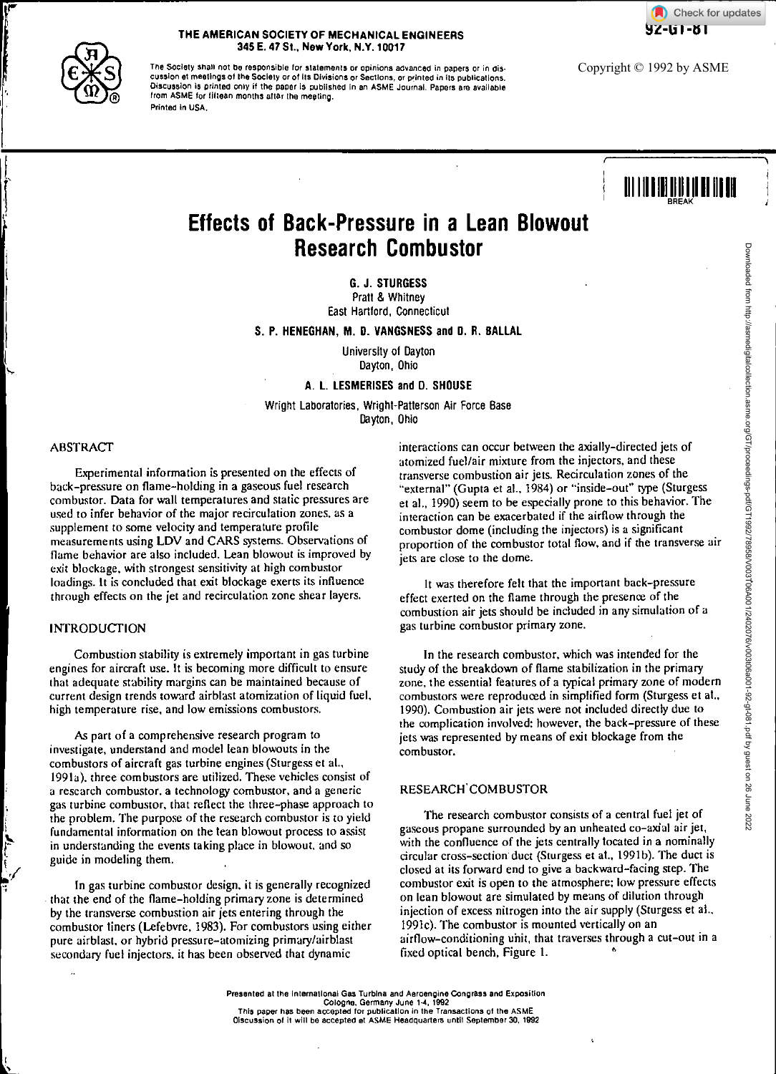



#### **THE AMERICAN SOCIETY OF MECHANICAL ENGINEERS 345 E. 47 St., New York, N.Y. 10017**

The Society shall not be responsible for statements or opinions advanced in papers or in clis. cussion at meetings of the Society or of Its Divisions or Sections, or printed in its publications. Discussion is printed only if the paper Is published in an ASME Journal. Papers are available Iron ASME for fifteen months after the meeting. Printed in USA.

# niimiji linn

# **Effects of Back-Pressure in a Lean Blowout Research Combustor**

**G. J. STURGESS**  Pratt & Whitney

East Hartford, Connecticut

**S. P. HENEGHAN, M. D. VANGSNESS and D. R. BALLAL** 

University of Dayton Dayton, Ohio

**A. L. LESMERISES and D. SHOUSE** 

Wright Laboratories, Wright-Patterson Air Force Base Dayton, Ohio

# ABSTRACT

Experimental information is presented on the effects of back-pressure on flame-holding in a gaseous fuel research combustor. Data for wall temperatures and static pressures are used to infer behavior of the major recirculation zones, as a supplement to some velocity and temperature profile measurements using LDV and CARS systems. Observations of flame behavior are also included. Lean blowout is improved by exit blockage, with strongest sensitivity at high combustor loadings. It is concluded that exit blockage exerts its influence through effects on the jet and recirculation zone shear layers.

# INTRODUCTION

Combustion stability is extremely important in gas turbine engines for aircraft use. It is becoming more difficult to ensure that adequate stability margins can be maintained because of current design trends toward airblast atomization of liquid fuel, high temperature rise, and low emissions combustors.

As part of a comprehensive research program to investigate, understand and model lean blowouts in the combustors of aircraft gas turbine engines (Sturgess et al., 1991a), three combustors are utilized. These vehicles consist of a research combustor, a technology combustor, and a generic gas turbine combustor, that reflect the three-phase approach to the problem. The purpose of the research combustor is to yield fundamental information on the lean blowout process to assist in understanding the events taking place in blowout, and so guide in modeling them.

In gas turbine combustor design, it is generally recognized that the end of the flame-holding primary zone is determined by the transverse combustion air jets entering through the combustor liners (Lefebvre, 1983). For combustors using either pure airblast, or hybrid pressure-atomizing primary/airblast secondary fuel injectors, it has been observed that dynamic

interactions can occur between the axially-directed jets of atomized fuel/air mixture from the injectors, and these transverse combustion air jets. Recirculation zones of the "external" (Gupta et al., 1984) or "inside-out" type (Sturgess et al., 1990) seem to be especially prone to this behavior. The interaction can be exacerbated if the airflow through the combustor dome (including the injectors) is a significant proportion of the combustor total flow, and if the transverse air jets are close to the dome.

It was therefore felt that the important back-pressure effect exerted on the flame through the presence of the combustion air jets should be included in any simulation of a gas turbine combustor primary zone.

In the research combustor, which was intended for the study of the breakdown of flame stabilization in the primary zone, the essential features of a typical primary zone of modern combustors were reproduced in simplified form (Sturgess et al., 1990). Combustion air jets were not included directly due to the complication involved; however, the back-pressure of these jets was represented by means of exit blockage from the combustor.

#### RESEARCH'COMBUSTOR

The research combustor consists of a central fuel jet of gaseous propane surrounded by an unheated co-axial air jet, with the confluence of the jets centrally located in a nominally circular cross-section duct (Sturgess et al., 1991b). The duct is closed at its forward end to give a backward-facing step. The combustor exit is open to the atmosphere; low pressure effects on lean blowout are simulated by means of dilution through injection of excess nitrogen into the air supply (Sturgess et al.. 1991c). The combustor is mounted vertically on an airflow-conditioning unit, that traverses through a cut-out in a fixed optical bench, Figure 1.

Downloaded from http://asmedigitalcollection.asme.org/GT/proceedings-pdf/GT1992/78958/V003T06A001/2402076/v003t06a001-92-gt-081.pdf by guest on 26 June 2022Downloaded from http://asmedigitalcollection.asme.org/GT/proceedings-pdf/GT1992/7895810/031068001012402001-92-gt-081 pdf by guest on 26 June 2022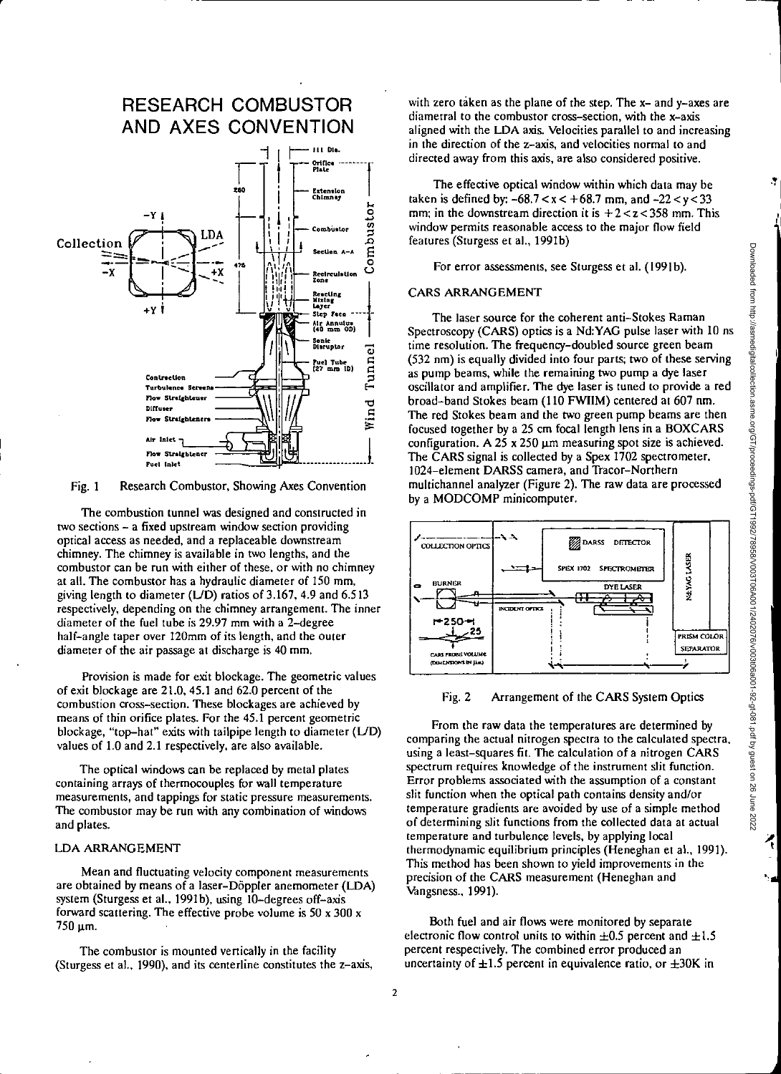# RESEARCH COMBUSTOR AND AXES CONVENTION



Fig. 1 Research Combustor, Showing Axes Convention

The combustion tunnel was designed and constructed in two sections - a fixed upstream window section providing optical access as needed, and a replaceable downstream chimney. The chimney is available in two lengths, and the combustor can be run with either of these, or with no chimney at all. The combustor has a hydraulic diameter of 150 mm, giving length to diameter (UD) ratios of 3.167, 4.9 and 6.513 respectively, depending on the chimney arrangement. The inner diameter of the fuel tube is 29.97 mm with a 2-degree half-angle taper over 120mm of its length, and the outer diameter of the air passage at discharge is 40 mm.

Provision is made for exit blockage. The geometric values of exit blockage are 21.0, 45.1 and 62.0 percent of the combustion cross-section. These blockages are achieved by means of thin orifice plates. For the 45.1 percent geometric blockage, "top-hat" exits with tailpipe length to diameter (UD) values of 1.0 and 2.1 respectively, are also available.

The optical windows can be replaced by metal plates containing arrays of thermocouples for wall temperature measurements, and tappings for static pressure measurements. The combustor may be run with any combination of windows and plates.

# LDA ARRANGEMENT

Mean and fluctuating velocity component measurements are obtained by means of a laser-Doppler anemometer (LDA) system (Sturgess et al., 1991b), using 10-degrees off-axis forward scattering. The effective probe volume is 50 x 300 x 750 gm.

The combustor is mounted vertically in the facility (Sturgess et al., 1990), and its centerline constitutes the z-axis, with zero taken as the plane of the step. The x- and y-axes are diametral to the combustor cross-section, with the x-axis aligned with the LDA axis. Velocities parallel to and increasing in the direction of the z-axis, and velocities normal to and directed away from this axis, are also considered positive.

The effective optical window within which data may be taken is defined by:  $-68.7 < x < +68.7$  mm, and  $-22 < y < 33$ mm; in the downstream direction it is  $+2 < z < 358$  mm. This window permits reasonable access to the major flow field features (Sturgess et al., 1991b)

For error assessments, see Sturgess et al. (1991b).

## CARS ARRANGEMENT

The laser source for the coherent anti-Stokes Raman Spectroscopy (CARS) optics is a Nd:YAG pulse laser with 10 ns time resolution. The frequency-doubled source green beam (532 nm) is equally divided into four parts; two of these serving as pump beams, while the remaining two pump a dye laser oscillator and amplifier. The dye laser is tuned to provide a red broad-band Stokes beam (110 FWIIM) centered at 607 nm. The red Stokes beam and the two green pump beams are then focused together by a 25 cm focal length lens in a BOXCARS configuration. A 25  $\times$  250  $\mu$ m measuring spot size is achieved. The CARS signal is collected by a Spex 1702 spectrometer, 1024-element DARSS camera, and Tracor-Northern multichannel analyzer (Figure 2). The raw data are processed by a MODCOMP minicomputer.



Fig. 2 Arrangement of the CARS System Optics

From the raw data the temperatures are determined by comparing the actual nitrogen spectra to the calculated spectra, using a least-squares fit. The calculation of a nitrogen CARS spectrum requires knowledge of the instrument slit function. Error problems associated with the assumption of a constant slit function when the optical path contains density and/or temperature gradients are avoided by use of a simple method of determining slit functions from the collected data at actual temperature and turbulence levels, by applying local thermodynamic equilibrium principles (Heneghan et al., 1991). This method has been shown to yield improvements in the precision of the CARS measurement (Heneghan and Vangsness., 1991).

Both fuel and air flows were monitored by separate electronic flow control units to within  $\pm 0.5$  percent and  $\pm 1.5$ percent respectively. The combined error produced an uncertainty of  $\pm 1.5$  percent in equivalence ratio, or  $\pm 30$ K in

Ą,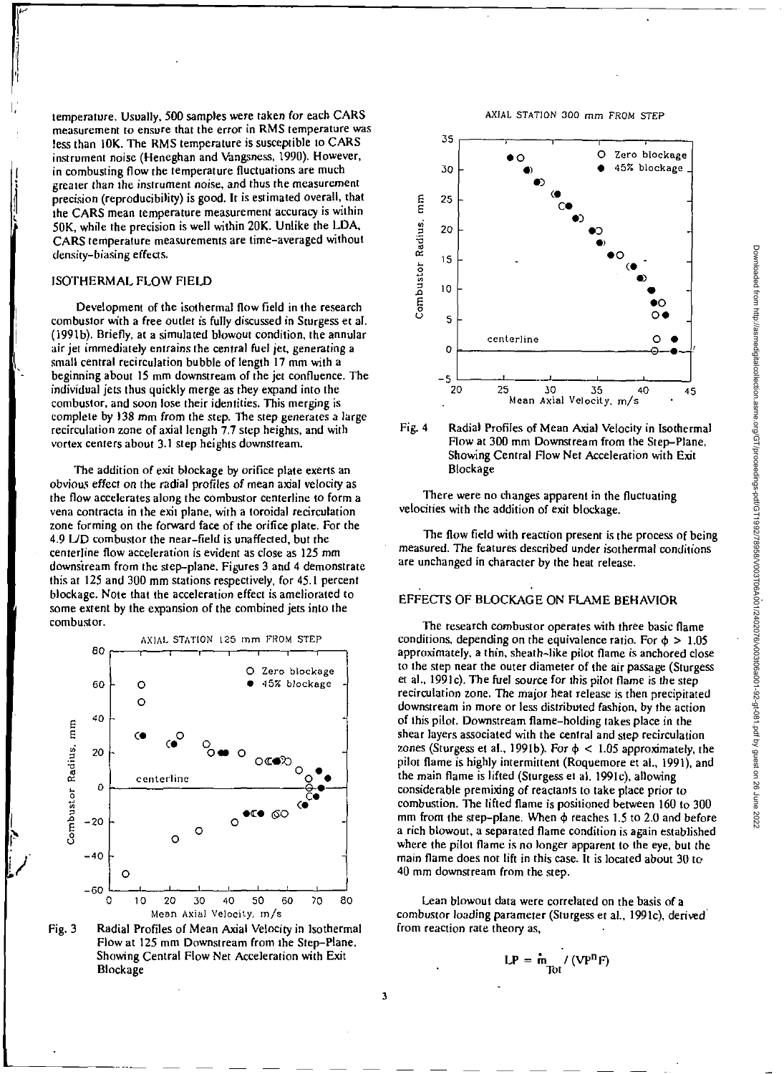temperature. Usually, 500 samples were taken for each CARS measurement to ensure that the error in RMS temperature was less than 10K. The RMS temperature is susceptible to CARS instrument noise (Heneghan and Vangsness, 1990). However, in combusting flow the temperature fluctuations are much greater than the instrument noise, and thus the measurement precision (reproducibility) is good. It is estimated overall, that the CARS mean temperature measurement accuracy is within 50K, while the precision is well within 20K. Unlike the LDA, CARS temperature measurements are time-averaged without density-biasing effects.

# ISOTHERMAL FLOW FIELD

Development of the isothermal flow field in the research combustor with a free outlet is fully discussed in Sturgess et al. (199th). Briefly, at a simulated blowout condition, the annular air jet immediately entrains the central fuel jet, generating a small central recirculation bubble of length 17 mm with a beginning about 15 mm downstream of the jet confluence. The individual jets thus quickly merge as they expand into the combustor, and soon lose their identities. This merging is complete by 138 mm from the step. The step generates a large recirculation zone of axial length 7.7 step heights, and with vortex centers about 3.1 step heights downstream.

The addition of exit blockage by orifice plate exerts an obvious effect on the radial profiles of mean axial velocity as the flow accelerates along the combustor centerline to form a vena contracta in the exit plane, with a toroidal recirculation zone forming on the forward face of the orifice plate. For the 4.9 IJD combustor the near-field is unaffected, but the centerline flow acceleration is evident as close as 125 mm downsiream from the step-plane. Figures 3 and 4 demonstrate this at 125 and 300 mm stations respectively, for 45.1 percent blockage. Note that the acceleration effect is ameliorated to some extent by the expansion of the combined jets into the combustor.









Fig. 4 Radial Profiles of Mean Axial Velocity in Isothermal Flow at 300 mm Downstream from the Step-Plane, Showing Central Flow Net Acceleration with Exit Blockage

There were no changes apparent in the fluctuating velocities with the addition of exit blockage.

The flow field with reaction present is the process of being measured. The features described under isothermal conditions are unchanged in character by the heat release.

# EFFECTS OF BLOCKAGE ON FLAME BEHAVIOR

The research combustor operates with three basic flame conditions, depending on the equivalence ratio. For  $\phi > 1.05$ approximately, a thin, sheath-like pilot flame is anchored close to the step near the outer diameter of the air passage (Sturgess et al., 1991c). The fuel source for this pilot flame is the step recirculation zone. The major heat release is then precipitated downstream in more or less distributed fashion, by the action of this pilot. Downstream flame-holding takes place in the shear layers associated with the central and step recirculation zones (Sturgess et al., 1991b). For  $\phi$  < 1.05 approximately, the pilot flame is highly intermittent (Roquemore et al., 1991), and the main flame is lifted (Sturgess et al, 1991c), allowing considerable premixing of reactants to take place prior to combustion. The lifted flame is positioned between 160 to 300 mm from the step-plane. When  $\phi$  reaches 1.5 to 2.0 and before a rich blowout, a separated flame condition is again established where the pilot flame is no longer apparent to the eye, but the main flame does not lift in this case. It is located about 30 to 40 mm downstream from the step.

Lean blowout data were correlated on the basis of a combustor loading parameter (Sturgess et al., 1991c), derived from reaction rate theory as,

$$
LP = \frac{1}{\text{Tot}} / (\text{VP}^nF)
$$

3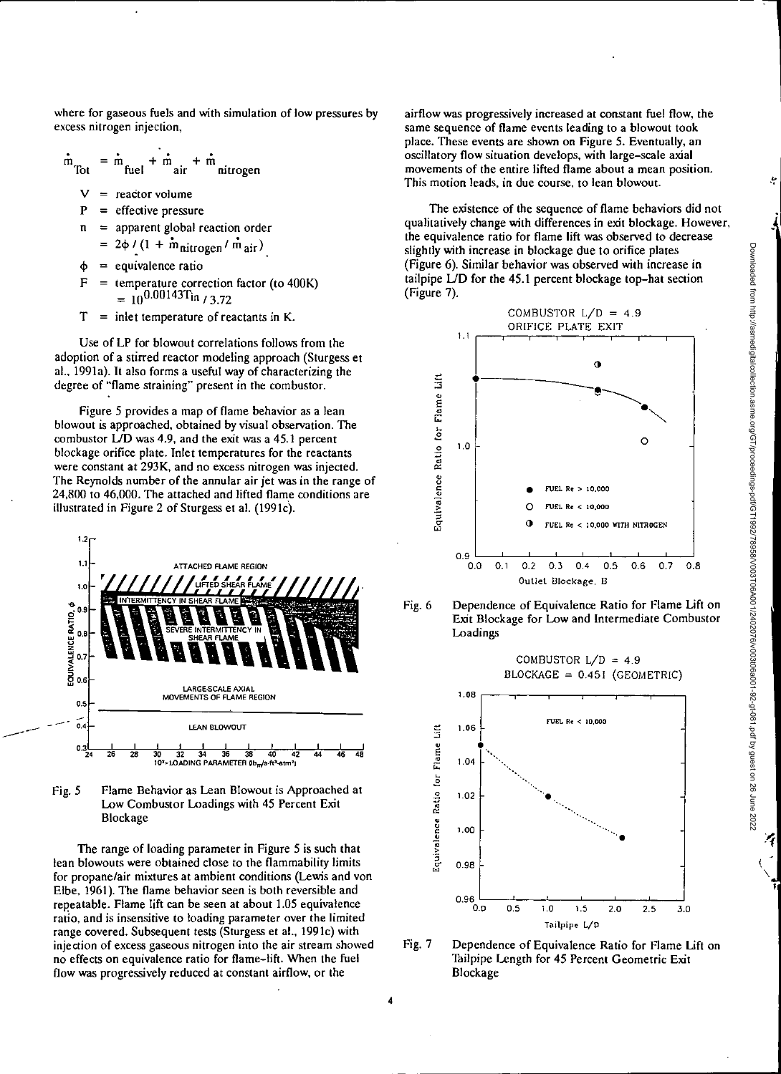Downloaded from http://asmedigitalcollection.asme.org/GT/proceedings-pdf/GT1992/78958/V003T06A001/2402076/v003t06a001-92-gt-081.pdf by guest on 26 June 2022

Downloaded from http://asmedigitalcollection.asme.org/GTi/proceedings-pdf/GT1992/78958/V0031/G40201/24020769001-92-gt-08 104 104 2022

 $\frac{L}{2}$ 

where for gaseous fuels and with simulation of low pressures by excess nitrogen injection,

$$
\dot{m}_{\text{Tot}} = \dot{m}_{\text{fuel}} + \dot{m}_{\text{air}} + \dot{m}_{\text{nitrogen}}
$$

reactor volume

- effective pressure
- n = apparent global reaction order  $2\phi/(1 + \dot{m}_{\text{nitrogen}}/\dot{m}_{\text{air}})$
- $=$  equivalence ratio  $\ddot{\Phi}$
- ${\bf F}$ = temperature correction factor (to 400K)  $_{10}$ 0.00143Tin  $_{1}$  3.72
- $T =$  inlet temperature of reactants in K.

Use of LP for blowout correlations follows from the adoption of a stirred reactor modeling approach (Sturgess et al., 1991a). It also forms a useful way of characterizing the degree of "flame straining" present in the combustor.

Figure 5 provides a map of flame behavior as a lean blowout is approached, obtained by visual observation. The combustor  $LD$  was 4.9, and the exit was a 45.1 percent blockage orifice plate. Inlet temperatures for the reactants were constant at 293K, and no excess nitrogen was injected. The Reynolds number of the annular air jet was in the range of 24,800 to 46,000. The attached and lifted flame conditions are illustrated in Figure 2 of Sturgess et al. (1991c).



Fig. 5 Flame Behavior as Lean Blowout is Approached at Low Combustor Loadings with 45 Percent Exit Blockage

The range of loading parameter in Figure 5 is such that lean blowouts were obtained close to the flammability limits for propane/air mixtures at ambient conditions (Lewis and von Elbe, 1961). The flame behavior seen is both reversible and repeatable. Flame lift can be seen at about 1.05 equivalence ratio, and is insensitive to loading parameter over the limited range covered. Subsequent tests (Sturgess et al., 1991c) with injection of excess gaseous nitrogen into the air stream showed no effects on equivalence ratio for flame-lift. When the fuel flow was progressively reduced at constant airflow, or the

airflow was progressively increased at constant fuel flow, the same sequence of flame events leading to a blowout took place. These events are shown on Figure 5. Eventually, an oscillatory flow situation develops, with large-scale axial movements of the entire lifted flame about a mean position. This motion leads, in due course, to lean blowout.

The existence of the sequence of flame behaviors did not qualitatively change with differences in exit blockage. However, the equivalence ratio for flame lift was observed to decrease slightly with increase in blockage due to orifice plates (Figure 6). Similar behavior was observed with increase in tailpipe IJD for the 45.1 percent blockage top-hat section (Figure 7).









4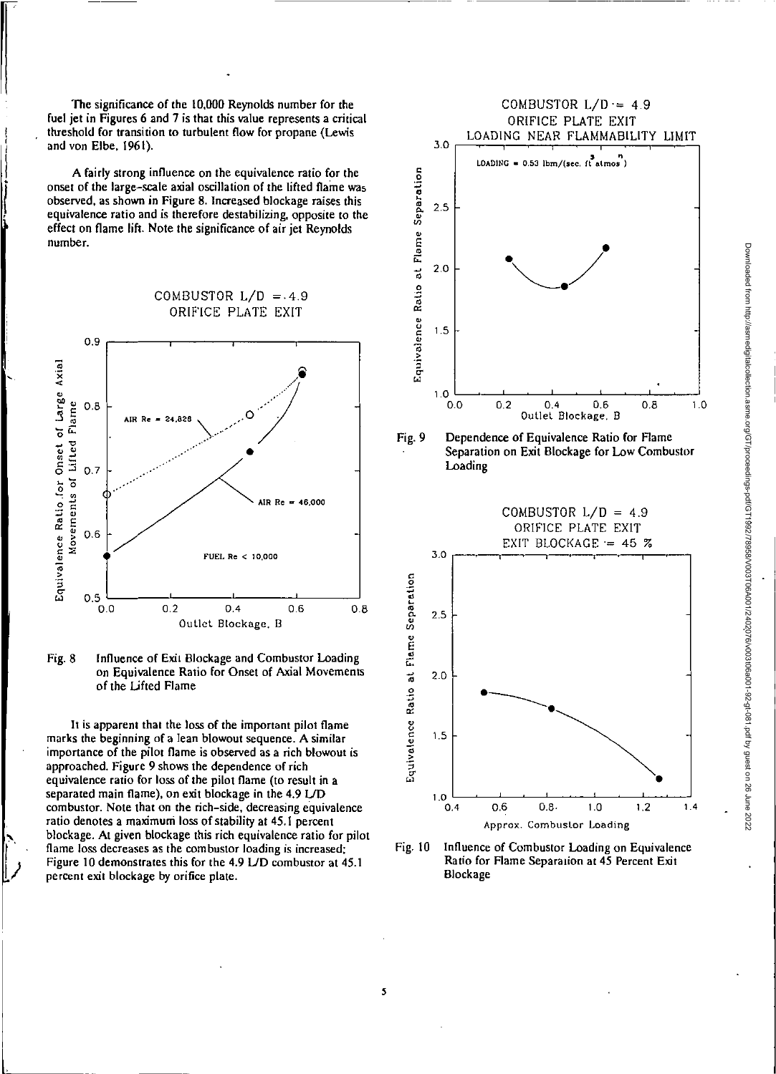The significance of the 10,000 Reynolds number for the fuel jet in Figures 6 and 7 is that this value represents a critical threshold for transition to turbulent flow for propane (Lewis and von Elbe, 1961).

A fairly strong influence on the equivalence ratio for the onset of the large-scale axial oscillation of the lifted flame was observed, as shown in Figure 8. Increased blockage raises this equivalence ratio and is therefore destabilizing, opposite to the effect on flame lift. Note the significance of air jet Reynolds number.

COMBUSTOR  $L/D = 4.9$ 



Fig. 8 Influence of Exit Blockage and Combustor Loading on Equivalence Ratio for Onset of Axial Movements of the Lifted Flame

It is apparent that the loss of the important pilot flame marks the beginning of a lean blowout sequence. A similar importance of the pilot flame is observed as a rich blowout is approached. Figure 9 shows the dependence of rich equivalence ratio for loss of the pilot flame (to result in a separated main flame), on exit blockage in the 4.9 L/D combustor. Note that on the rich-side, decreasing equivalence ratio denotes a maximum loss of stability at 45.1 percent blockage. At given blockage this rich equivalence ratio for pilot flame loss decreases as the combustor loading is increased; Figure 10 demonstrates this for the 4.9 L/D combustor at 45.1 percent exit blockage by orifice plate.



Fig. 10 Influence of Combustor Loading on Equivalence Ratio for Flame Separation at 45 Percent Exit Blockage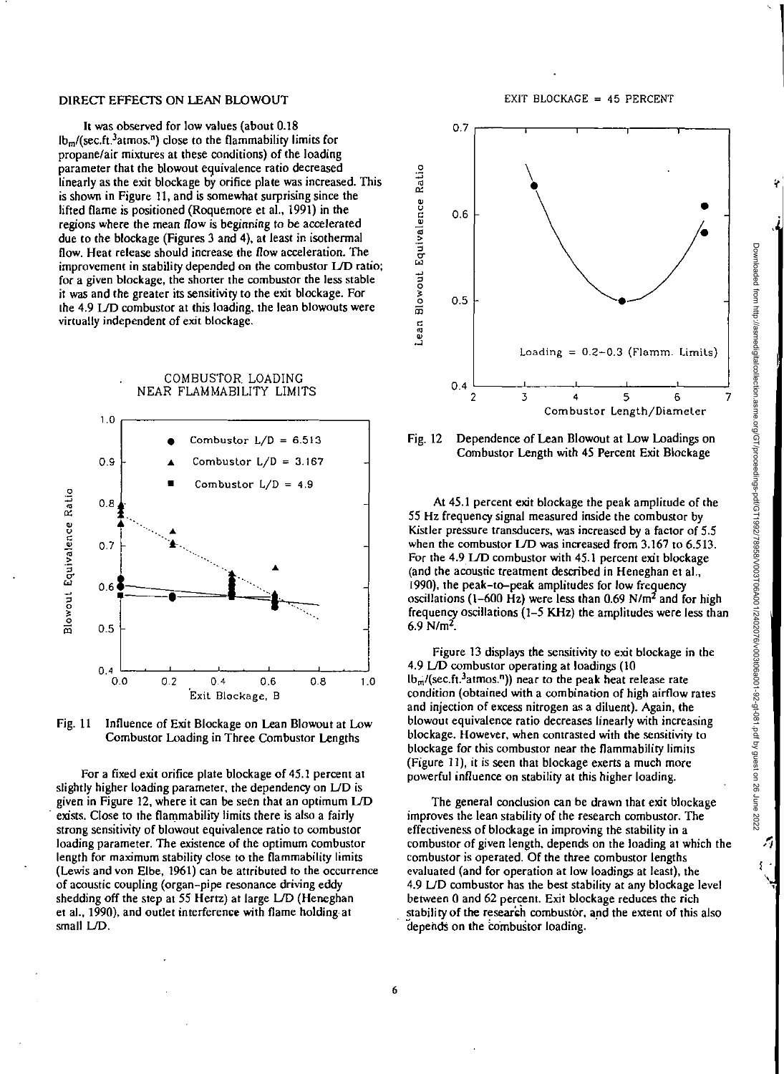#### DIRECT EFFECTS ON LEAN BLOWOUT

It was observed for low values (about 0.18  $I_{\rm bm}/(sec.ft.^3$  atmos.") close to the flammability limits for propane/air mixtures at these conditions) of the loading parameter that the blowout equivalence ratio decreased linearly as the exit blockage by orifice plate was increased. This is shown in Figure 11, and is somewhat surprising since the lifted flame is positioned (Roquemore et al., 1991) in the regions where the mean flow is beginning to be accelerated due to the blockage (Figures 3 and 4), at least in isothermal flow. Heat release should increase the flow acceleration. The improvement in stability depended on the combustor UD ratio; for a given blockage, the shorter the combustor the less stable it was and the greater its sensitivity to the exit blockage. For the 4.9 LID combustor at this loading, the lean blowouts were virtually independent of exit blockage.



Fig. 11 Influence of Exit Blockage on Lean Blowout at Low Combustor Loading in Three Combustor Lengths

For a fixed exit orifice plate blockage of 45.1 percent at slightly higher loading parameter, the dependency on L/D is given in Figure 12, where it can be seen that an optimum LID exists. Close to the flammability limits there is also a fairly strong sensitivity of blowout equivalence ratio to combustor loading parameter. The existence of the optimum combustor length for maximum stability close to the flammability limits (Lewis and von Elbe, 1961) can be attributed to the occurrence of acoustic coupling (organ-pipe resonance driving eddy shedding off the step at 55 Hertz) at large L/D (Heneghan et al., 1990), and outlet interference with flame holding at small LID.

EXIT BLOCKAGE =  $45$  PERCENT



Fig. 12 Dependence of Lean Blowout at Low Loadings on Combustor Length with 45 Percent Exit Blockage

At 45.1 percent exit blockage the peak amplitude of the 55 Hz frequency signal measured inside the combustor by Kistler pressure transducers, was increased by a factor of 5.5 when the combustor L/D was increased from 3.167 to 6.513. For the 4.9 UD combustor with 45.1 percent exit blockage (and the acoustic treatment described in Heneghan et al., 1990), the peak-to-peak amplitudes for low frequency oscillations (1-600 Hz) were less than 0.69 N/m<sup>2</sup> and for high frequency oscillations (1-5 KHz) the amplitudes were less than 6.9 N/m<sup>2</sup>.

Figure 13 displays the sensitivity to exit blockage in the 4.9  $LD$  combustor operating at loadings (10  $1b_m/(sec.fr.$ <sup>3</sup>atmos.")) near to the peak heat release rate condition (obtained with a combination of high airflow rates and injection of excess nitrogen as a diluent). Again, the blowout equivalence ratio decreases linearly with increasing blockage. However, when contrasted with the sensitivity to blockage for this combustor near the flammability limits (Figure 11), it is seen that blockage exerts a much more powerful influence on stability at this higher loading.

The general conclusion can be drawn that exit blockage improves the lean stability of the research combustor. The effectiveness of blockage in improving the stability in a combustor of given length, depends on the loading at which the combustor is operated. Of the three combustor lengths evaluated (and for operation at low loadings at least), the 4.9 LID combustor has the best stability at any blockage level between 0 and 62 percent. Exit blockage reduces the rich stability of the research combustor, and the extent of this also depends on the combustor loading.

 $\overline{\mathbf{r}}$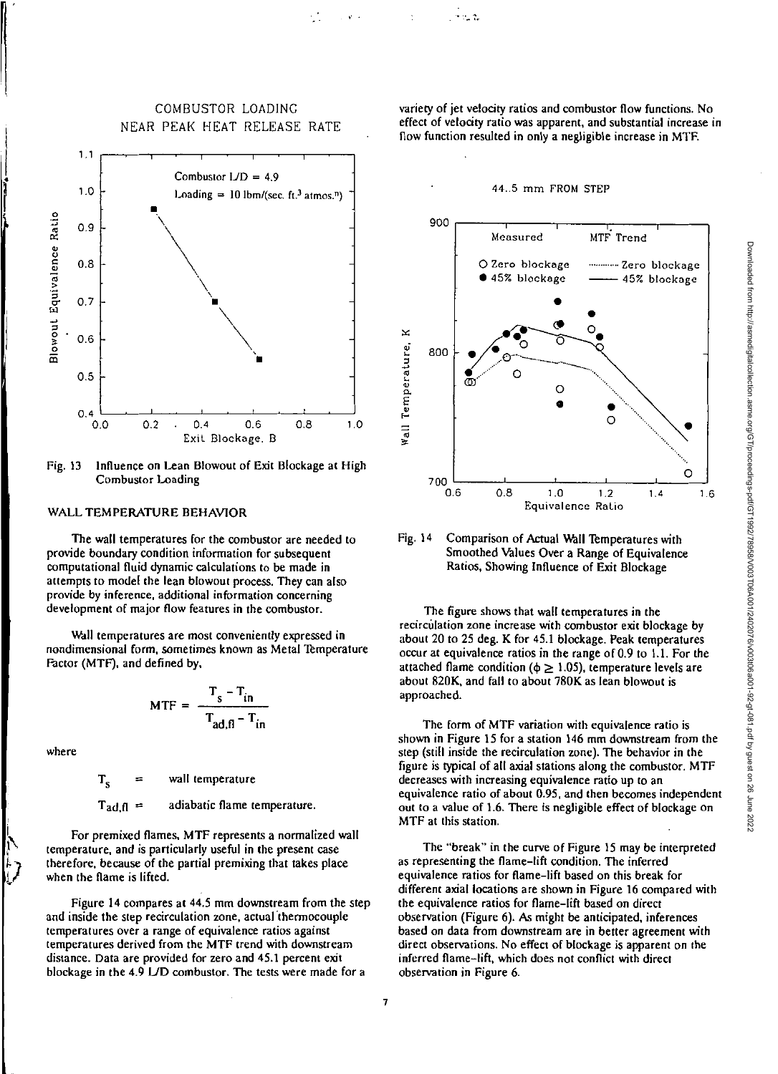NEAR PEAK HEAT RELEASE RATE  $1.1$ Combustor  $L/D = 4.9$ 1.0  $\frac{1}{2}$  1. Doading = 10 lbm/(sec. ft.<sup>3</sup> atmos.<sup>n</sup>) • 0.9 • 0.8 > 0.7  $\mathbf{r}$ o • • 0.6 0.5  $0.4 \begin{array}{c} 0.4 \\ 0.0 \end{array}$ 1.0 0.0 0.2 0.4 0.6 0.8 Exit\_ Blockage. B

COMBUSTOR LOADING

Fig. 13 Influence on Lean Blowout of Exit Blockage at High Combustor Loading

# WALL TEMPERATURE BEHAVIOR

The wall temperatures for the combustor are needed to provide boundary condition information for subsequent computational fluid dynamic calculations to be made in attempts to model the lean blowout process. They can also provide by inference, additional information concerning development of major flow features in the combustor.

Wall temperatures are most conveniently expressed in nondimensional form, sometimes known as Metal Temperature Factor (MTF), and defined by.

$$
MTF = \frac{T_s - T_{in}}{T_{ad,fl} - T_{in}}
$$

where

 $T_s$  = wall temperature

 $T_{\text{ad,fl}} =$  adiabatic flame temperature.

For premixed flames, MTF represents a normalized wall temperature, and is particularly useful in the present case therefore, because of the partial premixing that takes place when the flame is lifted.

Figure 14 compares at 44.5 mm downstream from the step and inside the step recirculation zone, actual 'thermocouple temperatures over a range of equivalence ratios against temperatures derived from the MTF trend with downstream distance. Data are provided for zero and 45.1 percent exit blockage in the 4.9 LID combustor. The tests were made for a

variety of jet velocity ratios and combustor flow functions. No effect of velocity ratio was apparent, and substantial increase in flow function resulted in only a negligible increase in MTE





Fig. 14 Comparison of Actual Wall Temperatures with Smoothed Values Over a Range of Equivalence Ratios, Showing Influence of Exit Blockage

The figure shows that wall temperatures in the recirculation zone increase with combustor exit blockage by about 20 to 25 deg. K for 45.1 blockage. Peak temperatures occur at equivalence ratios in the range of 0.9 to 1.1. For the attached flame condition ( $\phi \geq 1.05$ ), temperature levels are about 820K, and fall to about 780K as lean blowout is approached.

The form of MTF variation with equivalence ratio is shown in Figure 15 for a station 146 mm downstream from the step (still inside the recirculation zone). The behavior in the figure is typical of all axial stations along the combustor. MTF decreases with increasing equivalence ratio up to an equivalence ratio of about 0.95, and then becomes independent out to a value of 1.6. There is negligible effect of blockage on MTF at this station.

The "break" in the curve of Figure 15 may be interpreted as representing the flame-lift condition. The inferred equivalence ratios for flame-lift based on this break for different axial locations are shown in Figure 16 compared with the equivalence ratios for flame-lift based on direct observation (Figure 6). As might be anticipated, inferences based on data from downstream are in better agreement with direct observations. No effect of blockage is apparent on the inferred flame-lift, which does not conflict with direct observation in Figure 6.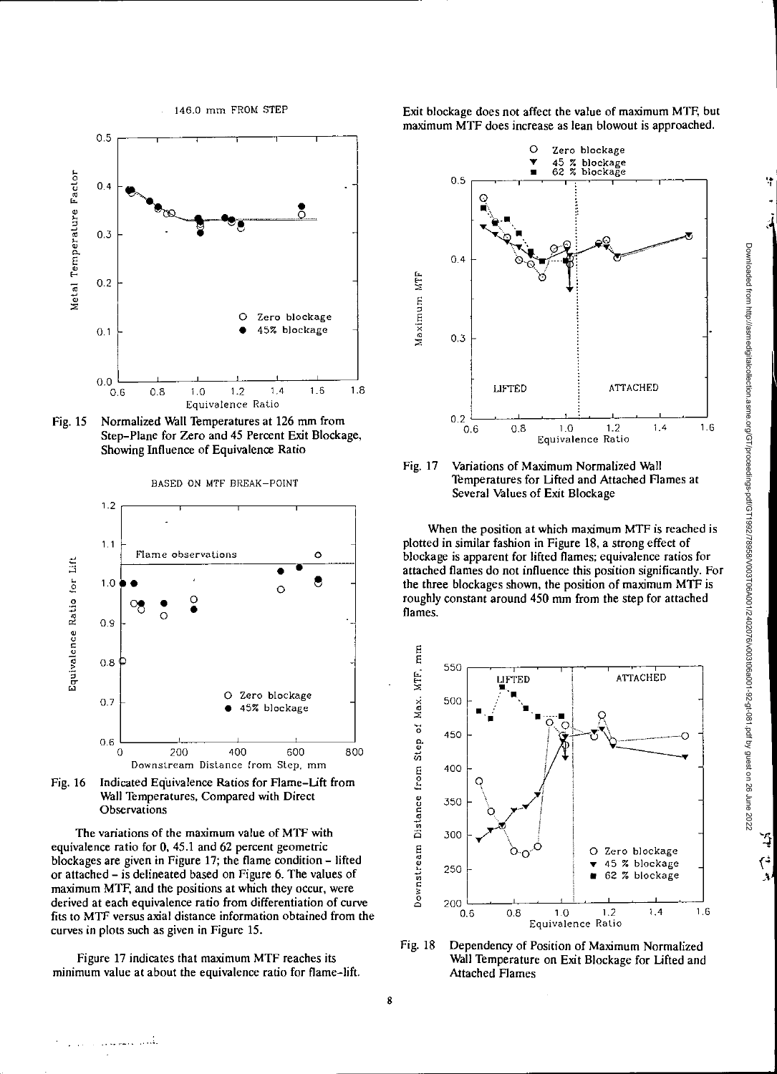









The variations of the maximum value of MTF with equivalence ratio for 0, 45.1 and 62 percent geometric blockages are given in Figure 17; the flame condition - lifted or attached - is delineated based on Figure 6. The values of maximum MTF, and the positions at which they occur, were derived at each equivalence ratio from differentiation of curve fits to MTF versus axial distance information obtained from the curves in plots such as given in Figure 15.

Figure 17 indicates that maximum MTF reaches its minimum value at about the equivalence ratio for flame-lift. Exit blockage does not affect the value of maximum MTF, but maximum MTF does increase as lean blowout is approached.



Fig. 17 Variations of Maximum Normalized Wall Temperatures for Lifted and Attached Flames at Several Values of Exit Blockage

When the position at which maximum MTF is reached is plotted in similar fashion in Figure 18, a strong effect of blockage is apparent for lifted flames; equivalence ratios for attached flames do not influence this position significantly. For the three blockages shown, the position of maximum MTF is roughly constant around 450 mm from the step for attached flames.



Fig. 18 Dependency of Position of Maximum Normalized Wall Temperature on Exit Blockage for Lifted and Attached Flames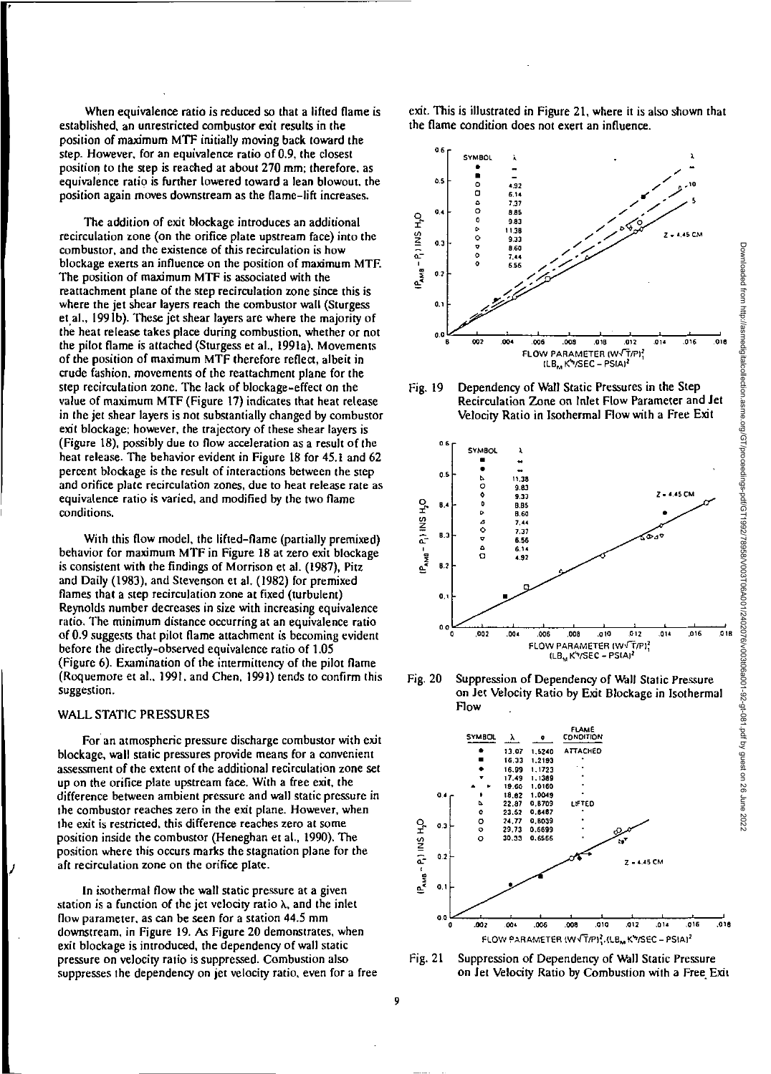When equivalence ratio is reduced so that a lifted flame is established, an unrestricted combustor exit results in the position of maximum MTF initially moving back toward the step. However, for an equivalence ratio of 0.9, the closest position to the step is reached at about 270 mm; therefore, as equivalence ratio is further lowered toward a lean blowout, the position again moves downstream as the flame-lift increases.

The addition of exit blockage introduces an additional recirculation zone (on the orifice plate upstream face) into the combustor, and the existence of this recirculation is how blockage exerts an influence on the position of maximum MTF. The position of maximum MTF is associated with the reattachment plane of the step recirculation zone since this is where the jet shear layers reach the combustor wall (Sturgess et al., 1991b). These jet shear layers are where the majority of the heat release takes place during combustion, whether or not the pilot flame is attached (Sturgess et al., 1991a). Movements of the position of maximum MTF therefore reflect, albeit in crude fashion, movements of the reattachment plane for the step recirculation zone. The lack of blockage-effect on the value of maximum MTF (Figure 17) indicates that heat release in the jet shear layers is not substantially changed by combustor exit blockage; however, the trajectory of these shear layers is (Figure 18), possibly due to flow acceleration as a result of the heat release. The behavior evident in Figure 18 for 45.1 and 62 percent blockage is the result of interactions between the step and orifice plate recirculation zones, due to heat release rate as equivalence ratio is varied, and modified by the two flame conditions.

With this flow model, the lifted-flame (partially premixed) behavior for maximum MTF in Figure 18 at zero exit blockage is consistent with the findings of Morrison et al. (1987), Pitz and Daily (1983), and Stevenson et al. (1982) for premixed flames that a step recirculation zone at fixed (turbulent) Reynolds number decreases in size with increasing equivalence ratio. The minimum distance occurring at an equivalence ratio of 0.9 suggests that pilot flame attachment is becoming evident before the directly-observed equivalence ratio of 1.05 (Figure 6). Examination of the intermittency of the pilot flame (Roquemore et al., 1991, and Chen, 1991) tends to confirm this suggestion.

# WALL STATIC PRESSURES

For an atmospheric pressure discharge combustor with exit blockage, wall static pressures provide means for a convenient assessment of the extent of the additional recirculation zone set up on the orifice plate upstream face. With a free exit, the difference between ambient pressure and wall static pressure in the combustor reaches zero in the exit plane. However, when the exit is restricted, this difference reaches zero at some position inside the combustor (Heneghan et al., 1990). The position where this occurs marks the stagnation plane for the aft recirculation zone on the orifice plate.

In isothermal flow the wall static pressure at a given station is a function of the jet velocity ratio  $\lambda$ , and the inlet flow parameter, as can be seen for a station 44.5 mm downstream, in Figure 19. As Figure 20 demonstrates, when exit blockage is introduced, the dependency of wall static pressure on velocity ratio is suppressed. Combustion also suppresses the dependency on jet velocity ratio, even for a free exit. This is illustrated in Figure 21, where it is also shown that the flame condition does not exert an influence.













9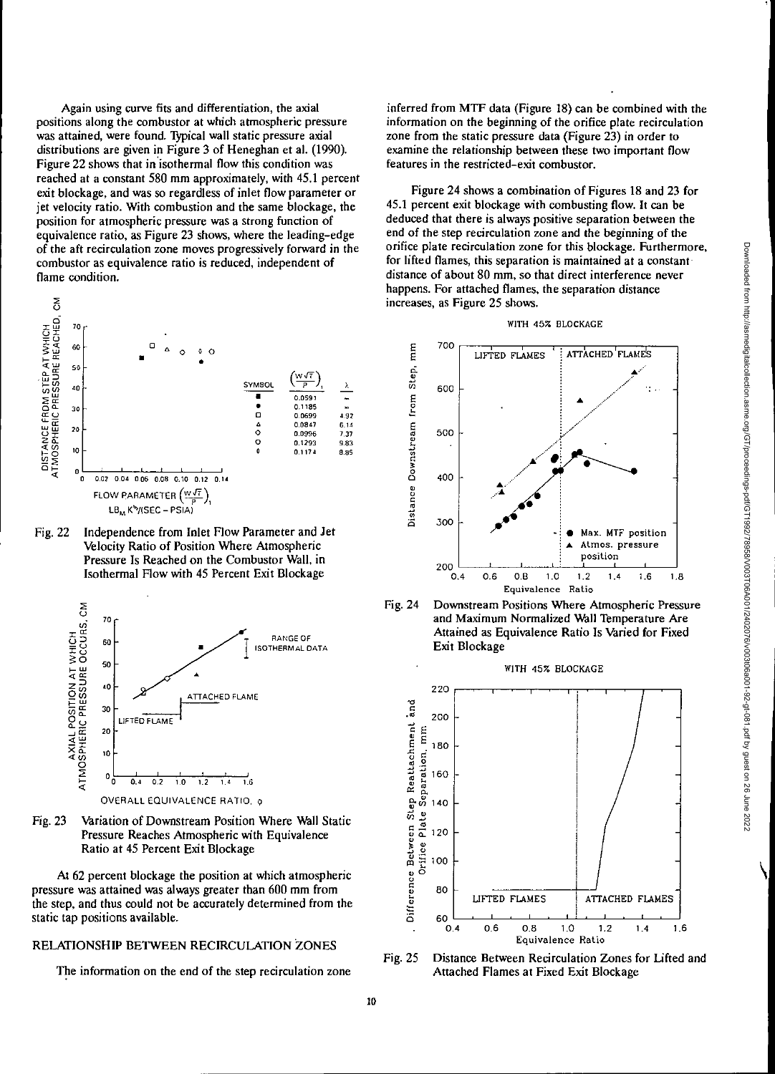Again using curve fits and differentiation, the axial positions along the combustor at which atmospheric pressure was attained, were found. Typical wall static pressure axial distributions are given in Figure 3 of Heneghan et al. (1990). Figure 22 shows that in isothermal flow this condition was reached at a constant 580 mm approximately, with 45.1 percent exit blockage, and was so regardless of inlet flow parameter or jet velocity ratio. With combustion and the same blockage, the position for atmospheric pressure was a strong function of equivalence ratio, as Figure 23 shows, where the leading-edge of the aft recirculation zone moves progressively forward in the combustor as equivalence ratio is reduced, independent of flame condition.



Fig. 22 Independence from Inlet Flow Parameter and Jet Velocity Ratio of Position Where Atmospheric Pressure Is Reached on the Combustor Wall, in Isothermal How with 45 Percent Exit Blockage



Fig. 23 Variation of Downstream Position Where Wall Static Pressure Reaches Atmospheric with Equivalence Ratio at 45 Percent Exit Blockage

At 62 percent blockage the position at which atmospheric pressure was attained was always greater than 600 mm from the step, and thus could not be accurately determined from the static tap positions available.

# RELATIONSHIP BETWEEN RECIRCULATION ZONES

The information on the end of the step recirculation zone

inferred from MTF data (Figure 18) can be combined with the information on the beginning of the orifice plate recirculation zone from the static pressure data (Figure 23) in order to examine the relationship between these two important flow features in the restricted-exit combustor.

Figure 24 shows a combination of Figures 18 and 23 for 45.1 percent exit blockage with combusting flow. It can be deduced that there is always positive separation between the end of the step recirculation zone and the beginning of the orifice plate recirculation zone for this blockage. Furthermore, for lifted flames, this separation is maintained at a constant distance of about 80 mm, so that direct interference never happens. For attached flames, the separation distance increases, as Figure 25 shows.

WITH 45% BLOCKAGE





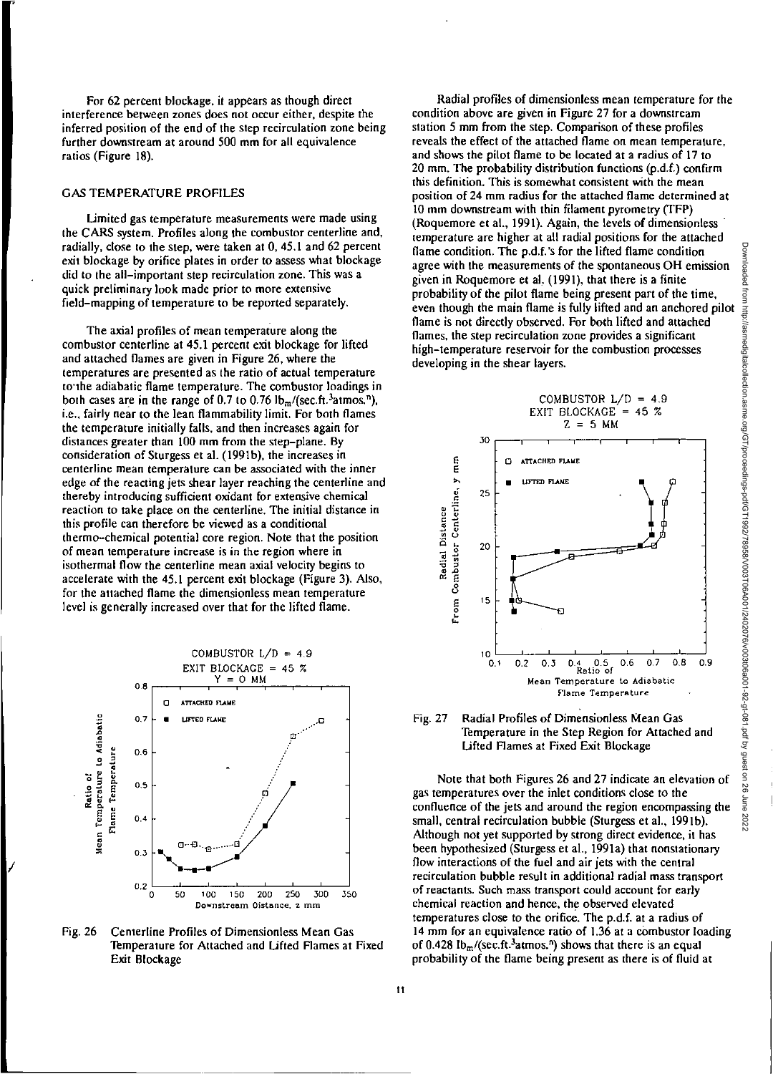For 62 percent blockage, it appears as though direct interference between zones does not occur either, despite the inferred position of the end of the step recirculation zone being further downstream at around 500 mm for all equivalence ratios (Figure 18).

# *GAS* TEMPERATURE PROFILES

Limited gas temperature measurements were made using the CARS system. Profiles along the combustor centerline and, radially, close to the step, were taken at 0,45.1 and 62 percent exit blockage by orifice plates in order to assess what blockage did to the all-important step recirculation zone. This was a quick preliminary look made prior to more extensive field-mapping of temperature to be reported separately.

The axial profiles of mean temperature along the combustor centerline at 45.1 percent exit blockage for lifted and attached flames are given in Figure 26, where the temperatures are presented as the ratio of actual temperature to the adiabatic flame temperature. The combustor loadings in both cases are in the range of 0.7 to 0.76  $lb<sub>m</sub>$ /(sec.ft.<sup>3</sup>atmos.<sup>n</sup>), i.e., fairly near to the lean flammability limit. For both flames the temperature initially falls, and then increases again for distances greater than 100 mm from the step-plane. By consideration of Sturgess et al. (1991b), the increases in centerline mean temperature can be associated with the inner edge of the reacting jets shear layer reaching the centerline and thereby introducing sufficient oxidant for extensive chemical reaction to take place on the centerline. The initial distance in this profile can therefore be viewed as a conditional thermo-chemical potential core region. Note that the position of mean temperature increase is in the region where in isothermal flow the centerline mean axial velocity begins to accelerate with the 45.1 percent exit blockage (Figure 3). Also, for the attached flame the dimensionless mean temperature level is generally increased over that for the lifted flame.



Fig. 26 Centerline Profiles of Dimensionless Mean Gas Temperature for Attached and Lifted Flames at Fixed Exit Blockage

Radial profiles of dimensionless mean temperature for the condition above are given in Figure 27 for a downstream station 5 mm from the step. Comparison of these profiles reveals the effect of the attached flame on mean temperature, and shows the pilot flame to be located at a radius of 17 to 20 mm. The probability distribution functions (p.d.f.) confirm this definition. This is somewhat consistent with the mean position of 24 mm radius for the attached flame determined at 10 mm downstream with thin filament pyrometry (TFP) (Roquemore et al., 1991). Again, the levels of dimensionless temperature are higher at all radial positions for the attached flame condition. The p.d.f.'s for the lifted flame condition agree with the measurements of the spontaneous OH emission given in Roquemore et al. (1991), that there is a finite probability of the pilot flame being present part of the time, even though the main flame is fully lifted and an anchored pilot flame is not directly observed. For both lifted and attached flames, the step recirculation zone provides a significant high-temperature reservoir for the combustion processes developing in the shear layers.



Fig 27 Radial Profiles of Dimensionless Mean Gas Temperature in the Step Region for Attached and Lifted Flames at Fixed Exit Blockage

Note that both Figures 26 and 27 indicate an elevation of gas temperatures over the inlet conditions close to the confluence of the jets and around the region encompassing the small, central recirculation bubble (Sturgess et al., 1991b). Although not yet supported by strong direct evidence, it has been hypothesized (Sturgess et al., 1991a) that nonstationary flow interactions of the fuel and air jets with the central recirculation bubble result in additional radial mass transport of reactants. Such mass transport could account for early chemical reaction and hence, the observed elevated temperatures close to the orifice. The p.d.f. at a radius of 14 mm for an equivalence ratio of 1.36 at a combustor loading of 0.428 Ib $<sub>m</sub>$ /(sec.ft.<sup>3</sup>atmos.<sup>n</sup>) shows that there is an equal</sub> probability of the flame being present as there is of fluid at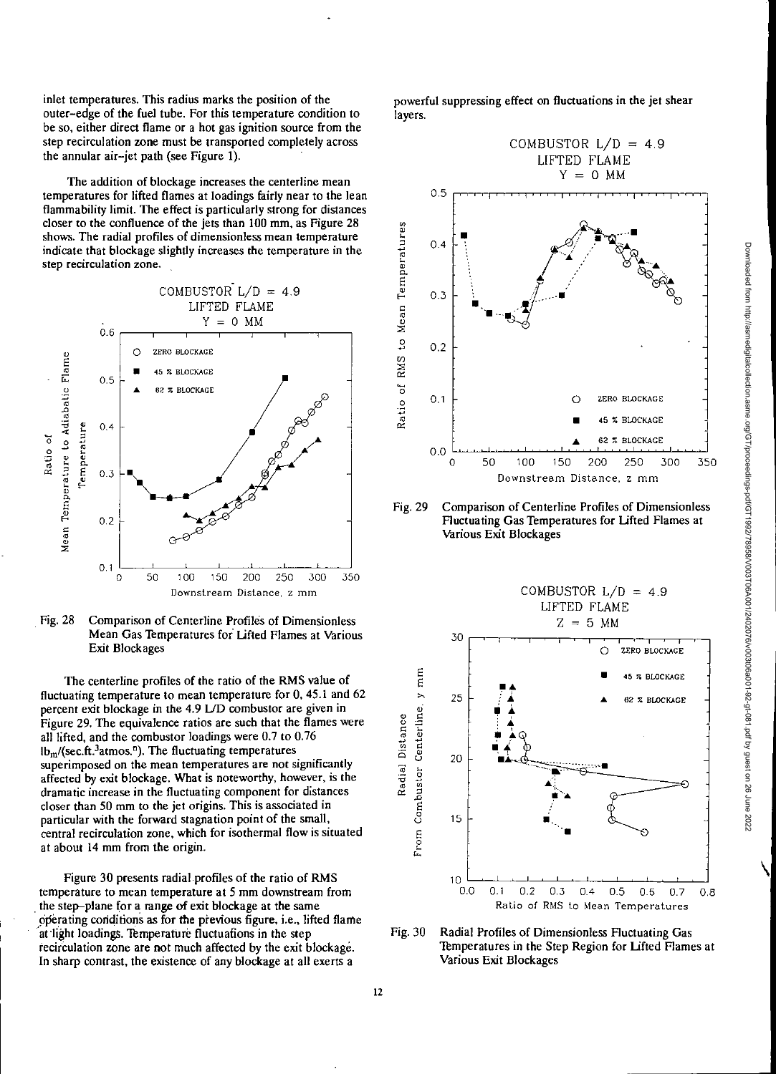Downloaded from http://asmedigitalcollection.asme.org/GT/proceedings-pdf/GT1992789685000112992910230149241041 pdf by guest on 26 June 2022 Downloaded from http://asmedigitalcollection.asme.org/GT/proceedings-pdf/GT1992/78958/V003T06A001/2402076/v003t06a001-92-gt-081.pdf by guest on 26 June 2022

inlet temperatures. This radius marks the position of the outer-edge of the fuel tube. For this temperature condition to be so, either direct flame or a hot gas ignition source from the step recirculation zone must be transported completely across the annular air-jet path (see Figure 1).

The addition of blockage increases the centerline mean temperatures for lifted flames at loadings fairly near to the lean flammability limit. The effect is particularly strong for distances closer to the confluence of the jets than 100 mm, as Figure 28 shows. The radial profiles of dimensionless mean temperature indicate that blockage slightly increases the temperature in the step recirculation zone.



• Fig. 28 Comparison of Centerline Profiles of Dimensionless Mean Gas Temperatures for Lifted Flames at Various Exit Blockages

The centerline profiles of the ratio of the RMS value of fluctuating temperature to mean temperature for 0, 45.1 and 62 percent exit blockage in the 4.9 UD combustor are given in Figure 29. The equivalence ratios are such that the flames were all lifted, and the combustor loadings were 0.7 to 0.76  $lb<sub>m</sub>$ /(sec.ft.<sup>3</sup>atmos.<sup>n</sup>). The fluctuating temperatures superimposed on the mean temperatures are not significantly affected by exit blockage. What is noteworthy, however, is the dramatic increase in the fluctuating component for distances closer than 50 mm to the jet origins. This is associated in particular with the forward stagnation point of the small, central recirculation zone, which for isothermal flow is situated at about 14 mm from the origin.

Figure 30 presents radial profiles of the ratio of RMS temperature to mean temperature at 5 mm downstream from the step-plane for a range of exit blockage at the same Operating conditions as for the previous figure, i.e., lifted flame at light loadings. Temperature fluctuations in the step recirculation zone are not much affected by the exit blockage. In sharp contrast, the existence of any blockage at all exerts a

powerful suppressing effect on fluctuations in the jet shear layers.



Fig. 29 Comparison of Centerline Profiles of Dimensionless Fluctuating Gas Temperatures for Lifted Flames at Various Exit Blockages



Fig. 30 Radial Profiles of Dimensionless Fluctuating Gas Temperatures in the Step Region for Lifted Flames at Various Exit Blockages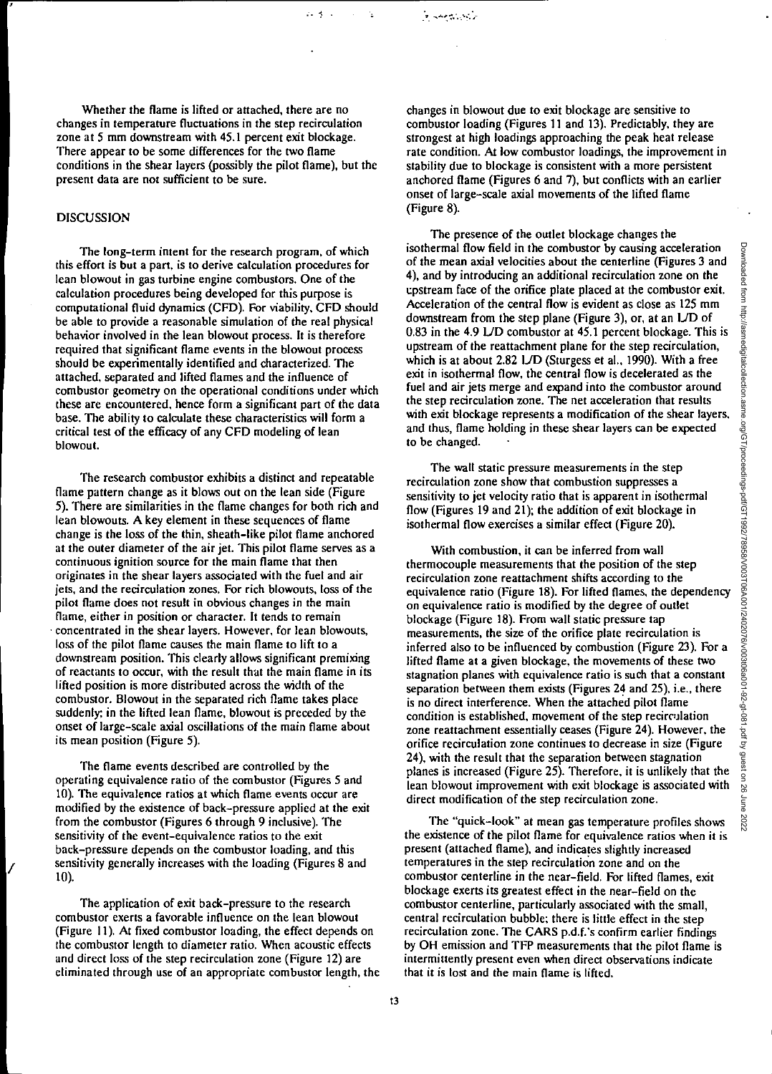Whether the flame is lifted or attached, there are no changes in temperature fluctuations in the step recirculation zone at 5 mm downstream with 45.1 percent exit blockage. There appear to be some differences for the two flame conditions in the shear layers (possibly the pilot flame), but the present data are not sufficient to be sure.

计可变

 $\sigma$  -construction

# **DISCUSSION**

The long-term intent for the research program, of which this effort is but a part, is to derive calculation procedures for lean blowout in gas turbine engine combustors. One of the calculation procedures being developed for this purpose is computational fluid dynamics (CFD). For viability, CEO should be able to provide a reasonable simulation of the real physical behavior involved in the lean blowout process. It is therefore required that significant flame events in the blowout process should be experimentally identified and characterized. The attached, separated and lifted flames and the influence of combustor geometry on the operational conditions under which these are encountered, hence form a significant part of the data base. The ability to calculate these characteristics will form a critical test of the efficacy of any CFD modeling of lean blowout.

The research combustor exhibits a distinct and repeatable flame pattern change as it blows out on the lean side (Figure 5). There are similarities in the flame changes for both rich and lean blowouts. A key element in these sequences of flame change is the loss of the thin, sheath-like pilot flame anchored at the outer diameter of the air jet. This pilot flame serves as a continuous ignition source for the main flame that then originates in the shear layers associated with the fuel and air jets, and the recirculation zones. For rich blowouts, loss of the pilot flame does not result in obvious changes in the main flame, either in position or character. It tends to remain concentrated in the shear layers. However, for lean blowouts, loss of the pilot flame causes the main flame to lift to a downstream position. This clearly allows significant premixing of reactants to occur, with the result that the main flame in its lifted position is more distributed across the width of the combustor. Blowout in the separated rich flame takes place suddenly; in the lifted lean flame, blowout is preceded by the onset of large-scale axial oscillations of the main flame about its mean position (Figure 5).

The flame events described are controlled by the operating equivalence ratio of the combustor (Figures 5 and 10). The equivalence ratios at which flame events occur are modified by the existence of back-pressure applied at the exit from the combustor (Figures 6 through 9 inclusive). The sensitivity of the event-equivalence ratios to the exit back-pressure depends on the combustor loading, and this sensitivity generally increases with the loading (Figures 8 and 10).

The application of exit back-pressure to the research combustor exerts a favorable influence on the lean blowout (Figure 11). At fixed combustor loading, the effect depends on the combustor length to diameter ratio. When acoustic effects and direct loss of the step recirculation zone (Figure 12) are eliminated through use of an appropriate combustor length, the

changes in blowout due to exit blockage are sensitive to combustor loading (Figures 11 and 13). Predictably, they are strongest at high loadings approaching the peak heat release rate condition. At low combustor loadings, the improvement in stability due to blockage is consistent with a more persistent anchored flame (Figures 6 and 7), but conflicts with an earlier onset of large-scale axial movements of the lifted flame (Figure 8).

The presence of the outlet blockage changes the isothermal flow field in the combustor by causing acceleration of the mean axial velocities about the centerline (Figures 3 and 4), and by introducing an additional recirculation zone on the upstream face of the orifice plate placed at the combustor exit. Acceleration of the central flow is evident as close as 125 mm downstream from the step plane (Figure 3), or, at an LID of 0.83 in the 4.9 LID combustor at 45.1 percent blockage. This is upstream of the reattachment plane for the step recirculation, which is at about 2.82 IJD (Sturgess et al., 1990). With a free exit in isothermal flow, the central flow is decelerated as the fuel and air jets merge and expand into the combustor around the step recirculation zone. The net acceleration that results with exit blockage represents a modification of the shear layers, and thus, flame holding in these shear layers can be expected to be changed.

The wall static pressure measurements in the step recirculation zone show that combustion suppresses a sensitivity to jet velocity ratio that is apparent in isothermal flow (Figures 19 and 21); the addition of exit blockage in isothermal flow exercises a similar effect (Figure 20).

With combustion, it can be inferred from wall thermocouple measurements that the position of the step recirculation zone reattachment shifts according to the equivalence ratio (Figure 18). For lifted flames, the dependency on equivalence ratio is modified by the degree of outlet blockage (Figure 18). From wall static pressure tap measurements, the size of the orifice plate recirculation is inferred also to be influenced by combustion (Figure 23). For a lifted flame at a given blockage, the movements of these two stagnation planes with equivalence ratio is such that a constant separation between them exists (Figures 24 and 25), i.e., there is no direct interference. When the attached pilot flame condition is established, movement of the step recirculation zone reattachment essentially ceases (Figure 24). However, the orifice recirculation zone continues to decrease in size (Figure 24), with the result that the separation between stagnation planes is increased (Figure 25). Therefore, it is unlikely that the lean blowout improvement with exit blockage is associated with direct modification of the step recirculation zone.

The "quick-look" at mean gas temperature profiles shows the existence of the pilot flame for equivalence ratios when it is present (attached flame), and indicates slightly increased temperatures in the step recirculation zone and on the combustor centerline in the near-field. For lifted flames, exit blockage exerts its greatest effect in the near-field on the combustor centerline, particularly associated with the small, central recirculation bubble; there is little effect in the step recirculation zone. The CARS p.d.f.'s confirm earlier findings by OH emission and TFP measurements that the pilot flame is intermittently present even when direct observations indicate that it is lost and the main flame is lifted.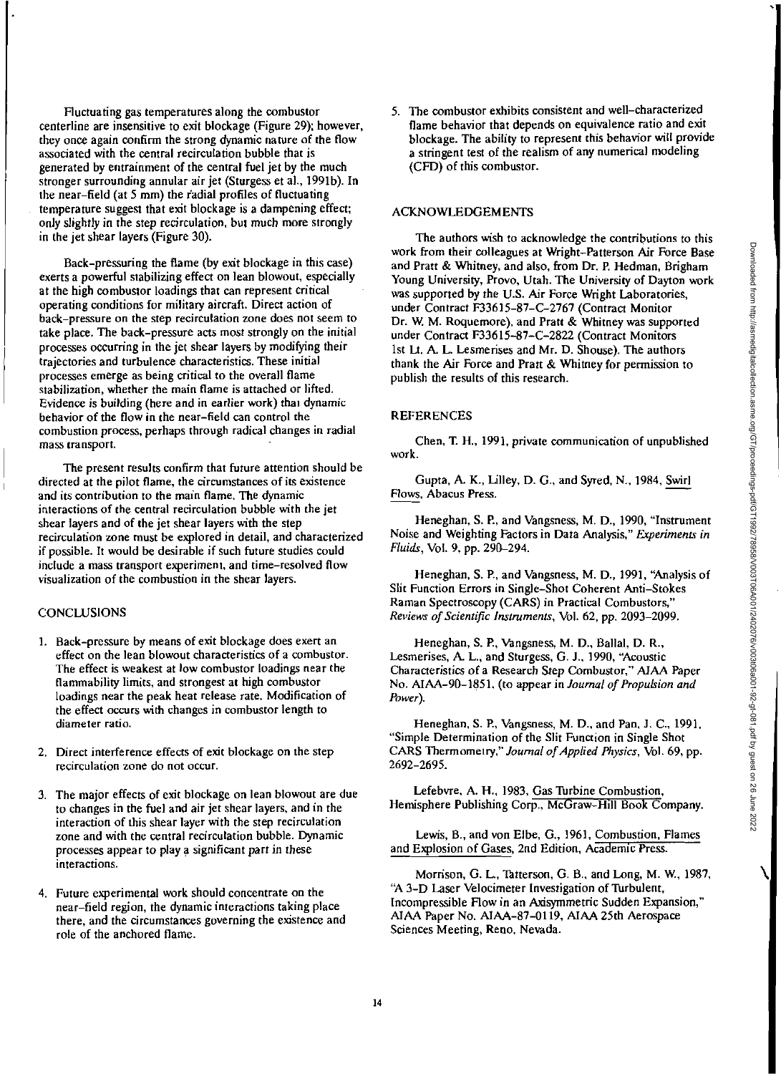Fluctuating gas temperatures along the combustor centerline are insensitive to exit blockage (Figure 29); however, they once again confirm the strong dynamic nature of the flow associated with the central recirculation bubble that is generated by entrainment of the central fuel jet by the much stronger surrounding annular air jet (Sturgess et al., 1991b). In the near-field (at 5 mm) the radial profiles of fluctuating temperature suggest that exit blockage is a dampening effect; only slightly *in the step recirculation,* but much more strongly in the jet shear layers (Figure 30).

Back-pressuring the flame (by exit blockage in this case) exerts a powerful stabilizing effect on lean blowout, especially at the high combustor loadings that can represent critical operating conditions for military aircraft. Direct action of back-pressure on the step recirculation zone does not seem to take place. The back-pressure acts most strongly on the initial processes occurring in the jet shear layers by modifying their trajectories and turbulence characteristics. These initial processes emerge as being critical to the overall flame stabilization, whether the main flame is attached or lifted. Evidence *is building (here and in earlier work)* that dynamic behavior of the flow in the near-field can control the combustion process, perhaps through radical changes in radial mass transport.

The present results confirm that future attention should be directed at the pilot flame, the circumstances of its existence and its contribution to the main flame. The dynamic interactions of the central recirculation bubble with the jet shear layers and of the jet shear layers with the step recirculation zone must be explored in detail, and characterized if possible. It would be desirable if such future studies could include a mass transport experiment, and time-resolved flow visualization of the combustion in the shear layers.

# **CONCLUSIONS**

- 1. Back-pressure by means of exit blockage does exert an effect on the lean blowout characteristics of a combustor. The effect is weakest at low combustor loadings near the flammability limits, and strongest at high combustor loadings near the peak heat release rate. Modification of the effect occurs with changes in combustor length to diameter ratio.
- 2, Direct interference effects of exit blockage on the step recirculation zone do not occur.
- 3. The major effects of exit blockage on lean blowout are due to changes in the fuel and air jet shear layers, and in the interaction of this shear layer with the step recirculation zone and with the central recirculation bubble. Dynamic processes appear to play a significant part *in* these interactions.
- 4. Future experimental work should concentrate on the near-field region, the dynamic interactions taking place there, and the circumstances governing the existence and role of the anchored flame.

5 The combustor exhibits consistent and well-characterized flame behavior that depends on equivalence ratio and exit blockage. The ability to represent this behavior will provide a stringent test of the realism of any numerical modeling (CFD) of this combustor.

# ACKNOWLEDGEMENTS

The authors wish to acknowledge the contributions to this work from their colleagues at Wright-Patterson Air Force Base and Pratt & Whitney, and also, from Dr. P. Hedman, Brigham Young University, Provo, Utah. The University of Dayton work was supported by the U.S. Air Force Wright Laboratories, under Contract F33615-87-C-2767 (Contract Monitor Dr. W. M. Roquemore), and Pratt & Whitney was supported under Contract F33615-87-C-2822 (Contract Monitors 1st Lt. A. L. Lesmerises and Mr. D. Shouse). The authors thank the Air Force and Pratt & Whitney for permission to publish the results of this research.

# REFERENCES

Chen, T. H., 1991, private communication of unpublished work.

Gupta, A. K., Lilley, D. G., and Syred, N., 1984, Swirl Flows, Abacus Press.

Heneghan, S. P., and Vangsness, M. D., 1990, "Instrument Noise and Weighting Factors in Data Analysis," *Experiments in Fluids,* Vol. 9, pp. 290-294.

Heneghan, S. P., and Vangsness, M. D., 1991, "Analysis of Slit Function Errors in Single-Shot Coherent Anti-Stokes Raman Spectroscopy (CARS) in Practical Combustors," *Reviews of Scientific Instruments,* Vol. 62, pp. 2093-2099.

Heneghan, S. P., Vangsness, M. D., Ballal, D. R., Lesmerises, A. L., and Sturgess, G. J., 1990, "Acoustic Characteristics of a Research Step Combustor," AIAA Paper No. AIAA-90-1851, (to appear in *Journal of Propulsion and Power).* 

Heneghan, S. P., Vangsness, M. D., and Pan, J. C., 1991, "Simple Determination of the Slit Function in Single Shot CARS Thermometry," *Journal of Applied Physics,* Vol. 69, pp. 2692-2695.

Lefebvre, A. H., 1983, Gas Turbine Combustion, Hemisphere Publishing Corp., McGraw-Hill Book Company.

Lewis, B., and von Elbe, G., 1961, Combustion, Flames and Explosion of Gases, 2nd Edition, Academic Press.

Morrison, G. L, Patterson, G. B., and Long, M. W, 1987, "A 3-D Laser Velocimeter Investigation of Turbulent, Incompressible Flow in an Axisyrnmetric Sudden Expansion," AIAA Paper No. A1AA-87-0119, AIAA 25th Aerospace Sciences Meeting, Reno. Nevada.